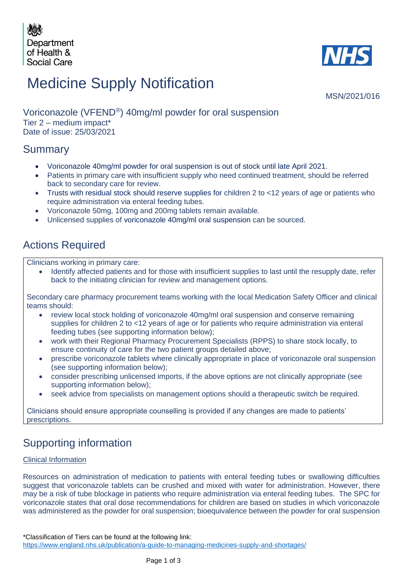



# Medicine Supply Notification

MSN/2021/016

#### Voriconazole (VFEND*®* ) 40mg/ml powder for oral suspension Tier 2 – medium impact\* Date of issue: 25/03/2021

## Summary

- Voriconazole 40mg/ml powder for oral suspension is out of stock until late April 2021.
- Patients in primary care with insufficient supply who need continued treatment, should be referred back to secondary care for review.
- Trusts with residual stock should reserve supplies for children 2 to <12 years of age or patients who require administration via enteral feeding tubes.
- Voriconazole 50mg, 100mg and 200mg tablets remain available.
- Unlicensed supplies of voriconazole 40mg/ml oral suspension can be sourced.

## Actions Required

Clinicians working in primary care:

• Identify affected patients and for those with insufficient supplies to last until the resupply date, refer back to the initiating clinician for review and management options.

Secondary care pharmacy procurement teams working with the local Medication Safety Officer and clinical teams should:

- review local stock holding of voriconazole 40mg/ml oral suspension and conserve remaining supplies for children 2 to <12 years of age or for patients who require administration via enteral feeding tubes (see supporting information below);
- work with their Regional Pharmacy Procurement Specialists (RPPS) to share stock locally, to ensure continuity of care for the two patient groups detailed above;
- prescribe voriconazole tablets where clinically appropriate in place of voriconazole oral suspension (see supporting information below);
- consider prescribing unlicensed imports, if the above options are not clinically appropriate (see supporting information below);
- seek advice from specialists on management options should a therapeutic switch be required.

Clinicians should ensure appropriate counselling is provided if any changes are made to patients' prescriptions.

## Supporting information

#### Clinical Information

Resources on administration of medication to patients with enteral feeding tubes or swallowing difficulties suggest that voriconazole tablets can be crushed and mixed with water for administration. However, there may be a risk of tube blockage in patients who require administration via enteral feeding tubes. The SPC for voriconazole states that oral dose recommendations for children are based on studies in which voriconazole was administered as the powder for oral suspension; bioequivalence between the powder for oral suspension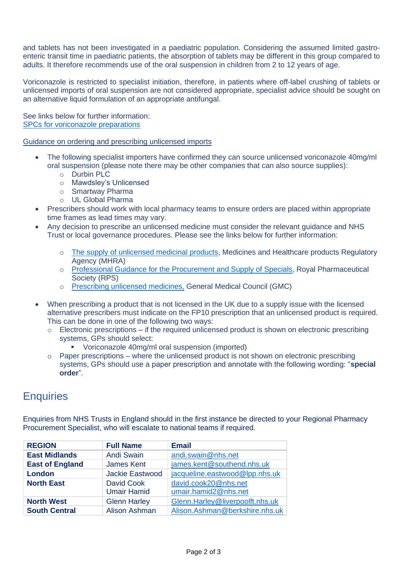and tablets has not been investigated in a paediatric population. Considering the assumed limited gastroenteric transit time in paediatric patients, the absorption of tablets may be different in this group compared to adults. It therefore recommends use of the oral suspension in children from 2 to 12 years of age.

Voriconazole is restricted to specialist initiation, therefore, in patients where off-label crushing of tablets or unlicensed imports of oral suspension are not considered appropriate, specialist advice should be sought on an alternative liquid formulation of an appropriate antifungal.

See links below for further information: [SPCs for voriconazole preparations](https://www.medicines.org.uk/emc/search?q=voriconazole)

Guidance on ordering and prescribing unlicensed imports

- The following specialist importers have confirmed they can source unlicensed voriconazole 40mg/ml oral suspension (please note there may be other companies that can also source supplies):
	- o Durbin PLC
	- o Mawdsley's Unlicensed
	- o Smartway Pharma
	- o UL Global Pharma
- Prescribers should work with local pharmacy teams to ensure orders are placed within appropriate time frames as lead times may vary.
- Any decision to prescribe an unlicensed medicine must consider the relevant guidance and NHS Trust or local governance procedures. Please see the links below for further information:
	- o The supply [of unlicensed medicinal products,](https://assets.publishing.service.gov.uk/government/uploads/system/uploads/attachment_data/file/373505/The_supply_of_unlicensed_medicinal_products__specials_.pdf) Medicines and Healthcare products Regulatory Agency (MHRA)
	- o [Professional Guidance for the Procurement and Supply of Specials,](https://www.rpharms.com/Portals/0/RPS%20document%20library/Open%20access/Support/toolkit/specials-professional-guidance.pdf) Royal Pharmaceutical Society (RPS)
	- o [Prescribing unlicensed medicines,](https://www.gmc-uk.org/ethical-guidance/ethical-guidance-for-doctors/prescribing-and-managing-medicines-and-devices/prescribing-unlicensed-medicines) General Medical Council (GMC)
- When prescribing a product that is not licensed in the UK due to a supply issue with the licensed alternative prescribers must indicate on the FP10 prescription that an unlicensed product is required. This can be done in one of the following two ways:
	- o Electronic prescriptions if the required unlicensed product is shown on electronic prescribing systems, GPs should select:
		- Voriconazole 40mg/ml oral suspension (imported)
	- $\circ$  Paper prescriptions where the unlicensed product is not shown on electronic prescribing systems, GPs should use a paper prescription and annotate with the following wording: "**special order**".

### **Enquiries**

Enquiries from NHS Trusts in England should in the first instance be directed to your Regional Pharmacy Procurement Specialist, who will escalate to national teams if required.

| <b>REGION</b>          | <b>Full Name</b>     | <b>Email</b>                    |
|------------------------|----------------------|---------------------------------|
| <b>East Midlands</b>   | <b>Andi Swain</b>    | andi.swain@nhs.net              |
| <b>East of England</b> | <b>James Kent</b>    | james.kent@southend.nhs.uk      |
| <b>London</b>          | Jackie Eastwood      | jacqueline.eastwood@lpp.nhs.uk  |
| <b>North East</b>      | <b>David Cook</b>    | david.cook20@nhs.net            |
|                        | <b>Umair Hamid</b>   | umair.hamid2@nhs.net            |
| <b>North West</b>      | <b>Glenn Harley</b>  | Glenn.Harley@liverpoolft.nhs.uk |
| <b>South Central</b>   | <b>Alison Ashman</b> | Alison.Ashman@berkshire.nhs.uk  |